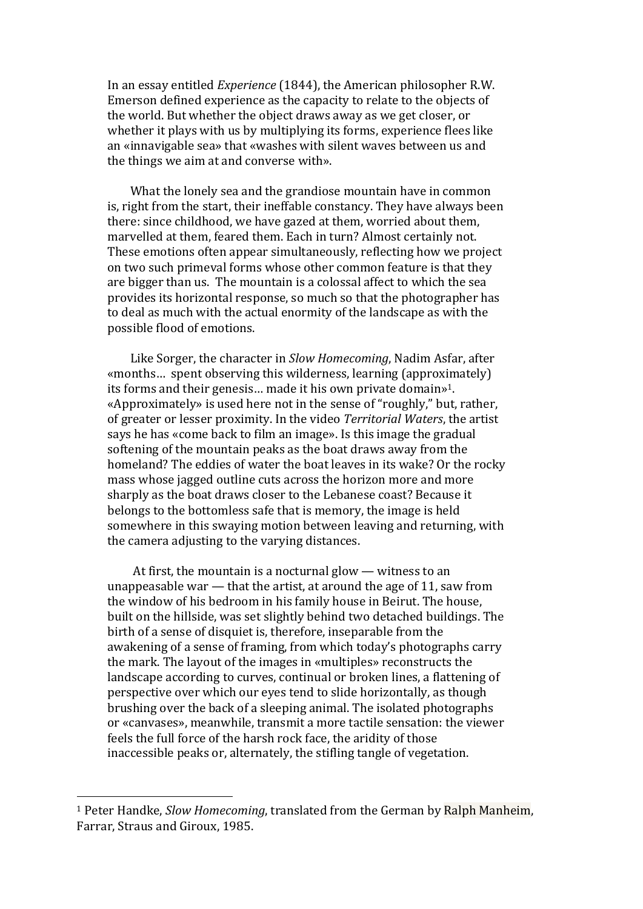In an essay entitled *Experience* (1844), the American philosopher R.W. Emerson defined experience as the capacity to relate to the objects of the world. But whether the object draws away as we get closer, or whether it plays with us by multiplying its forms, experience flees like an «innavigable sea» that «washes with silent waves between us and the things we aim at and converse with».

What the lonely sea and the grandiose mountain have in common is, right from the start, their ineffable constancy. They have always been there: since childhood, we have gazed at them, worried about them, marvelled at them, feared them. Each in turn? Almost certainly not. These emotions often appear simultaneously, reflecting how we project on two such primeval forms whose other common feature is that they are bigger than us. The mountain is a colossal affect to which the sea provides its horizontal response, so much so that the photographer has to deal as much with the actual enormity of the landscape as with the possible flood of emotions.

Like Sorger, the character in *Slow Homecoming*, Nadim Asfar, after «months... spent observing this wilderness, learning  $\alpha$  (approximately) its forms and their genesis... made it his own private domain»<sup>1</sup>. «Approximately» is used here not in the sense of "roughly," but, rather, of greater or lesser proximity. In the video *Territorial Waters*, the artist says he has «come back to film an image». Is this image the gradual softening of the mountain peaks as the boat draws away from the homeland? The eddies of water the boat leaves in its wake? Or the rocky mass whose jagged outline cuts across the horizon more and more sharply as the boat draws closer to the Lebanese coast? Because it belongs to the bottomless safe that is memory, the image is held somewhere in this swaying motion between leaving and returning, with the camera adjusting to the varying distances.

At first, the mountain is a nocturnal glow  $-$  witness to an unappeasable war  $-$  that the artist, at around the age of 11, saw from the window of his bedroom in his family house in Beirut. The house, built on the hillside, was set slightly behind two detached buildings. The birth of a sense of disquiet is, therefore, inseparable from the awakening of a sense of framing, from which today's photographs carry the mark. The layout of the images in «multiples» reconstructs the landscape according to curves, continual or broken lines, a flattening of perspective over which our eves tend to slide horizontally, as though brushing over the back of a sleeping animal. The isolated photographs or «canvases», meanwhile, transmit a more tactile sensation: the viewer feels the full force of the harsh rock face, the aridity of those inaccessible peaks or, alternately, the stifling tangle of vegetation.

 

<sup>&</sup>lt;sup>1</sup> Peter Handke, *Slow Homecoming*, translated from the German by Ralph Manheim, Farrar, Straus and Giroux, 1985.